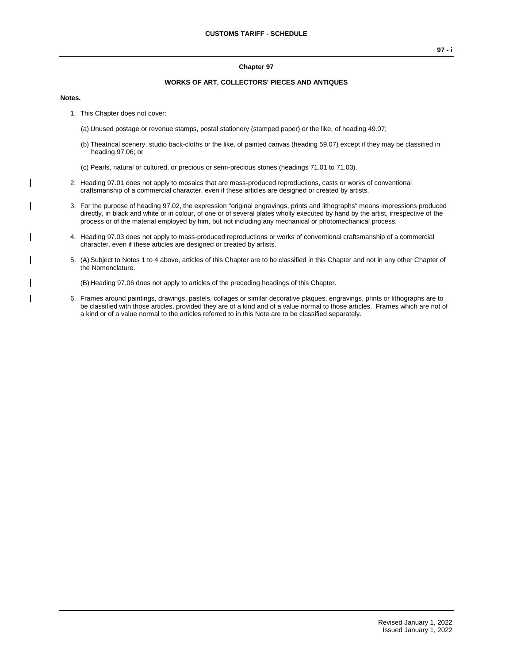#### **Chapter 97**

### **WORKS OF ART, COLLECTORS' PIECES AND ANTIQUES**

#### **Notes.**

- 1. This Chapter does not cover:
	- (a) Unused postage or revenue stamps, postal stationery (stamped paper) or the like, of heading 49.07;
	- (b) Theatrical scenery, studio back-cloths or the like, of painted canvas (heading 59.07) except if they may be classified in heading 97.06; or
	- (c) Pearls, natural or cultured, or precious or semi-precious stones (headings 71.01 to 71.03).
- 2. Heading 97.01 does not apply to mosaics that are mass-produced reproductions, casts or works of conventional craftsmanship of a commercial character, even if these articles are designed or created by artists.
- 3. For the purpose of heading 97.02, the expression "original engravings, prints and lithographs" means impressions produced directly, in black and white or in colour, of one or of several plates wholly executed by hand by the artist, irrespective of the process or of the material employed by him, but not including any mechanical or photomechanical process.
- 4. Heading 97.03 does not apply to mass-produced reproductions or works of conventional craftsmanship of a commercial character, even if these articles are designed or created by artists.
- 5. (A)Subject to Notes 1 to 4 above, articles of this Chapter are to be classified in this Chapter and not in any other Chapter of the Nomenclature.

(B) Heading 97.06 does not apply to articles of the preceding headings of this Chapter.

6. Frames around paintings, drawings, pastels, collages or similar decorative plaques, engravings, prints or lithographs are to be classified with those articles, provided they are of a kind and of a value normal to those articles. Frames which are not of a kind or of a value normal to the articles referred to in this Note are to be classified separately.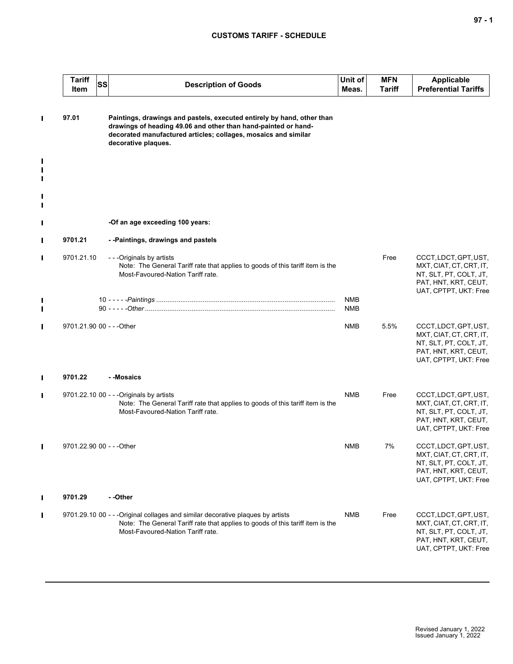## **CUSTOMS TARIFF - SCHEDULE**

|                | <b>Tariff</b><br>Item     | SS<br><b>Description of Goods</b>                                                                                                                                                                                                 | Unit of<br>Meas.  | <b>MFN</b><br><b>Tariff</b> | Applicable<br><b>Preferential Tariffs</b>                                                                                   |
|----------------|---------------------------|-----------------------------------------------------------------------------------------------------------------------------------------------------------------------------------------------------------------------------------|-------------------|-----------------------------|-----------------------------------------------------------------------------------------------------------------------------|
| $\blacksquare$ | 97.01                     | Paintings, drawings and pastels, executed entirely by hand, other than<br>drawings of heading 49.06 and other than hand-painted or hand-<br>decorated manufactured articles; collages, mosaics and similar<br>decorative plaques. |                   |                             |                                                                                                                             |
| П              |                           |                                                                                                                                                                                                                                   |                   |                             |                                                                                                                             |
| П              |                           |                                                                                                                                                                                                                                   |                   |                             |                                                                                                                             |
| Ш              |                           | -Of an age exceeding 100 years:                                                                                                                                                                                                   |                   |                             |                                                                                                                             |
| $\blacksquare$ | 9701.21                   | --Paintings, drawings and pastels                                                                                                                                                                                                 |                   |                             |                                                                                                                             |
| $\blacksquare$ | 9701.21.10                | - - - Originals by artists<br>Note: The General Tariff rate that applies to goods of this tariff item is the<br>Most-Favoured-Nation Tariff rate.                                                                                 |                   | Free                        | CCCT, LDCT, GPT, UST,<br>MXT, CIAT, CT, CRT, IT,<br>NT, SLT, PT, COLT, JT,<br>PAT, HNT, KRT, CEUT,<br>UAT, CPTPT, UKT: Free |
| Ш              |                           |                                                                                                                                                                                                                                   | <b>NMB</b><br>NMB |                             |                                                                                                                             |
| Ш              | 9701.21.90 00 - - - Other |                                                                                                                                                                                                                                   | <b>NMB</b>        | 5.5%                        | CCCT, LDCT, GPT, UST,<br>MXT, CIAT, CT, CRT, IT,<br>NT, SLT, PT, COLT, JT,<br>PAT, HNT, KRT, CEUT,<br>UAT, CPTPT, UKT: Free |
| $\blacksquare$ | 9701.22                   | - - Mosaics                                                                                                                                                                                                                       |                   |                             |                                                                                                                             |
| $\blacksquare$ |                           | 9701.22.10 00 - - - Originals by artists<br>Note: The General Tariff rate that applies to goods of this tariff item is the<br>Most-Favoured-Nation Tariff rate.                                                                   | <b>NMB</b>        | Free                        | CCCT, LDCT, GPT, UST,<br>MXT, CIAT, CT, CRT, IT,<br>NT, SLT, PT, COLT, JT,<br>PAT, HNT, KRT, CEUT,<br>UAT, CPTPT, UKT: Free |
| П              | 9701.22.90 00 - - - Other |                                                                                                                                                                                                                                   | <b>NMB</b>        | 7%                          | CCCT, LDCT, GPT, UST,<br>MXT, CIAT, CT, CRT, IT,<br>NT, SLT, PT, COLT, JT,<br>PAT, HNT, KRT, CEUT,<br>UAT, CPTPT, UKT: Free |
| $\mathbf{I}$   | 9701.29                   | - -Other                                                                                                                                                                                                                          |                   |                             |                                                                                                                             |
| $\blacksquare$ |                           | 9701.29.10 00 - - - Original collages and similar decorative plagues by artists<br>Note: The General Tariff rate that applies to goods of this tariff item is the<br>Most-Favoured-Nation Tariff rate.                            | <b>NMB</b>        | Free                        | CCCT, LDCT, GPT, UST,<br>MXT, CIAT, CT, CRT, IT,<br>NT, SLT, PT, COLT, JT,<br>PAT, HNT, KRT, CEUT,<br>UAT, CPTPT, UKT: Free |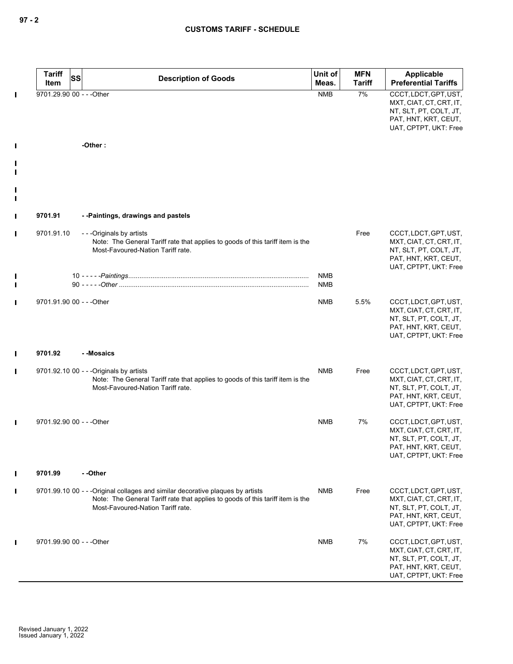| <b>Tariff</b><br>SS<br>Item | <b>Description of Goods</b>                                                                                                                                                                            | Unit of<br>Meas.         | <b>MFN</b><br><b>Tariff</b> | Applicable<br><b>Preferential Tariffs</b>                                                                                   |
|-----------------------------|--------------------------------------------------------------------------------------------------------------------------------------------------------------------------------------------------------|--------------------------|-----------------------------|-----------------------------------------------------------------------------------------------------------------------------|
| 9701.29.90 00 - - - Other   |                                                                                                                                                                                                        | <b>NMB</b>               | 7%                          | CCCT, LDCT, GPT, UST,<br>MXT, CIAT, CT, CRT, IT,<br>NT, SLT, PT, COLT, JT,<br>PAT, HNT, KRT, CEUT,<br>UAT, CPTPT, UKT: Free |
|                             | -Other:                                                                                                                                                                                                |                          |                             |                                                                                                                             |
|                             |                                                                                                                                                                                                        |                          |                             |                                                                                                                             |
|                             |                                                                                                                                                                                                        |                          |                             |                                                                                                                             |
| 9701.91                     | --Paintings, drawings and pastels                                                                                                                                                                      |                          |                             |                                                                                                                             |
| 9701.91.10                  | - - - Originals by artists<br>Note: The General Tariff rate that applies to goods of this tariff item is the<br>Most-Favoured-Nation Tariff rate.                                                      |                          | Free                        | CCCT, LDCT, GPT, UST,<br>MXT, CIAT, CT, CRT, IT,<br>NT, SLT, PT, COLT, JT,<br>PAT, HNT, KRT, CEUT,<br>UAT, CPTPT, UKT: Free |
|                             |                                                                                                                                                                                                        | <b>NMB</b><br><b>NMB</b> |                             |                                                                                                                             |
| 9701.91.90 00 - - - Other   |                                                                                                                                                                                                        | NMB                      | 5.5%                        | CCCT, LDCT, GPT, UST,<br>MXT, CIAT, CT, CRT, IT,<br>NT, SLT, PT, COLT, JT,<br>PAT, HNT, KRT, CEUT,<br>UAT, CPTPT, UKT: Free |
| 9701.92                     | - -Mosaics                                                                                                                                                                                             |                          |                             |                                                                                                                             |
|                             | 9701.92.10 00 - - - Originals by artists<br>Note: The General Tariff rate that applies to goods of this tariff item is the<br>Most-Favoured-Nation Tariff rate.                                        | <b>NMB</b>               | Free                        | CCCT, LDCT, GPT, UST,<br>MXT, CIAT, CT, CRT, IT,<br>NT, SLT, PT, COLT, JT,<br>PAT, HNT, KRT, CEUT,<br>UAT, CPTPT, UKT: Free |
| 9701.92.90 00 - - - Other   |                                                                                                                                                                                                        | <b>NMB</b>               | 7%                          | CCCT, LDCT, GPT, UST,<br>MXT, CIAT, CT, CRT, IT,<br>NT, SLT, PT, COLT, JT,<br>PAT, HNT, KRT, CEUT,<br>UAT, CPTPT, UKT: Free |
| 9701.99                     | - -Other                                                                                                                                                                                               |                          |                             |                                                                                                                             |
|                             | 9701.99.10 00 - - - Original collages and similar decorative plaques by artists<br>Note: The General Tariff rate that applies to goods of this tariff item is the<br>Most-Favoured-Nation Tariff rate. | NMB                      | Free                        | CCCT, LDCT, GPT, UST,<br>MXT, CIAT, CT, CRT, IT,<br>NT, SLT, PT, COLT, JT,<br>PAT, HNT, KRT, CEUT,<br>UAT, CPTPT, UKT: Free |
| 9701.99.90 00 - - - Other   |                                                                                                                                                                                                        | <b>NMB</b>               | 7%                          | CCCT, LDCT, GPT, UST,<br>MXT, CIAT, CT, CRT, IT,<br>NT, SLT, PT, COLT, JT,<br>PAT, HNT, KRT, CEUT,<br>UAT, CPTPT, UKT: Free |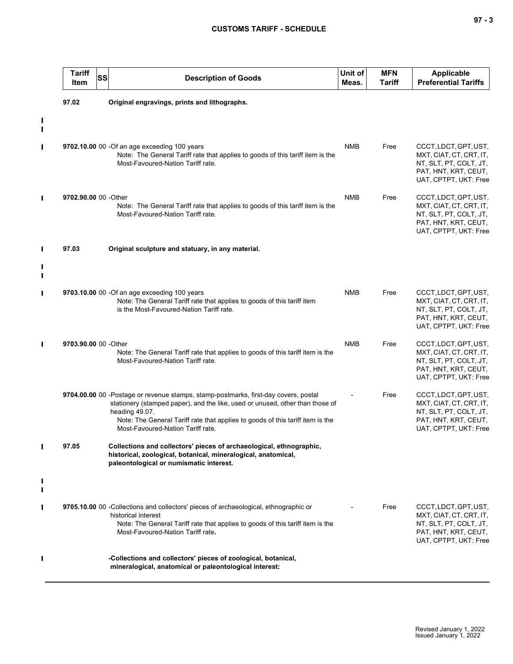# **CUSTOMS TARIFF - SCHEDULE**

|   | <b>Tariff</b><br>SS<br>Item | <b>Description of Goods</b>                                                                                                                                                                                                                                                                                   | Unit of<br>Meas. | <b>MFN</b><br><b>Tariff</b> | <b>Applicable</b><br><b>Preferential Tariffs</b>                                                                            |
|---|-----------------------------|---------------------------------------------------------------------------------------------------------------------------------------------------------------------------------------------------------------------------------------------------------------------------------------------------------------|------------------|-----------------------------|-----------------------------------------------------------------------------------------------------------------------------|
|   | 97.02                       | Original engravings, prints and lithographs.                                                                                                                                                                                                                                                                  |                  |                             |                                                                                                                             |
| L |                             |                                                                                                                                                                                                                                                                                                               |                  |                             |                                                                                                                             |
| П |                             | 9702.10.00 00 -Of an age exceeding 100 years<br>Note: The General Tariff rate that applies to goods of this tariff item is the<br>Most-Favoured-Nation Tariff rate.                                                                                                                                           | <b>NMB</b>       | Free                        | CCCT, LDCT, GPT, UST,<br>MXT, CIAT, CT, CRT, IT,<br>NT, SLT, PT, COLT, JT,<br>PAT, HNT, KRT, CEUT,<br>UAT, CPTPT, UKT: Free |
| П | 9702.90.00 00 -Other        | Note: The General Tariff rate that applies to goods of this tariff item is the<br>Most-Favoured-Nation Tariff rate.                                                                                                                                                                                           | <b>NMB</b>       | Free                        | CCCT, LDCT, GPT, UST,<br>MXT, CIAT, CT, CRT, IT,<br>NT, SLT, PT, COLT, JT,<br>PAT, HNT, KRT, CEUT,<br>UAT, CPTPT, UKT: Free |
| П | 97.03                       | Original sculpture and statuary, in any material.                                                                                                                                                                                                                                                             |                  |                             |                                                                                                                             |
|   |                             |                                                                                                                                                                                                                                                                                                               |                  |                             |                                                                                                                             |
| П |                             | 9703.10.00 00 - Of an age exceeding 100 years<br>Note: The General Tariff rate that applies to goods of this tariff item<br>is the Most-Favoured-Nation Tariff rate.                                                                                                                                          | <b>NMB</b>       | Free                        | CCCT, LDCT, GPT, UST,<br>MXT, CIAT, CT, CRT, IT,<br>NT, SLT, PT, COLT, JT,<br>PAT, HNT, KRT, CEUT,<br>UAT, CPTPT, UKT: Free |
| П | 9703.90.00 00 - Other       | Note: The General Tariff rate that applies to goods of this tariff item is the<br>Most-Favoured-Nation Tariff rate.                                                                                                                                                                                           | <b>NMB</b>       | Free                        | CCCT, LDCT, GPT, UST,<br>MXT, CIAT, CT, CRT, IT,<br>NT, SLT, PT, COLT, JT,<br>PAT, HNT, KRT, CEUT,<br>UAT, CPTPT, UKT: Free |
|   |                             | 9704.00.00 00 -Postage or revenue stamps, stamp-postmarks, first-day covers, postal<br>stationery (stamped paper), and the like, used or unused, other than those of<br>heading 49.07.<br>Note: The General Tariff rate that applies to goods of this tariff item is the<br>Most-Favoured-Nation Tariff rate. |                  | Free                        | CCCT, LDCT, GPT, UST,<br>MXT, CIAT, CT, CRT, IT,<br>NT, SLT, PT, COLT, JT,<br>PAT, HNT, KRT, CEUT,<br>UAT, CPTPT, UKT: Free |
|   | 97.05                       | Collections and collectors' pieces of archaeological, ethnographic,<br>historical, zoological, botanical, mineralogical, anatomical,<br>paleontological or numismatic interest.                                                                                                                               |                  |                             |                                                                                                                             |
|   |                             |                                                                                                                                                                                                                                                                                                               |                  |                             |                                                                                                                             |
|   |                             | 9705.10.00 00 -Collections and collectors' pieces of archaeological, ethnographic or<br>historical interest<br>Note: The General Tariff rate that applies to goods of this tariff item is the<br>Most-Favoured-Nation Tariff rate.                                                                            |                  | Free                        | CCCT, LDCT, GPT, UST,<br>MXT, CIAT, CT, CRT, IT,<br>NT, SLT, PT, COLT, JT,<br>PAT, HNT, KRT, CEUT,<br>UAT, CPTPT, UKT: Free |
|   |                             | -Collections and collectors' pieces of zoological, botanical,<br>mineralogical, anatomical or paleontological interest:                                                                                                                                                                                       |                  |                             |                                                                                                                             |